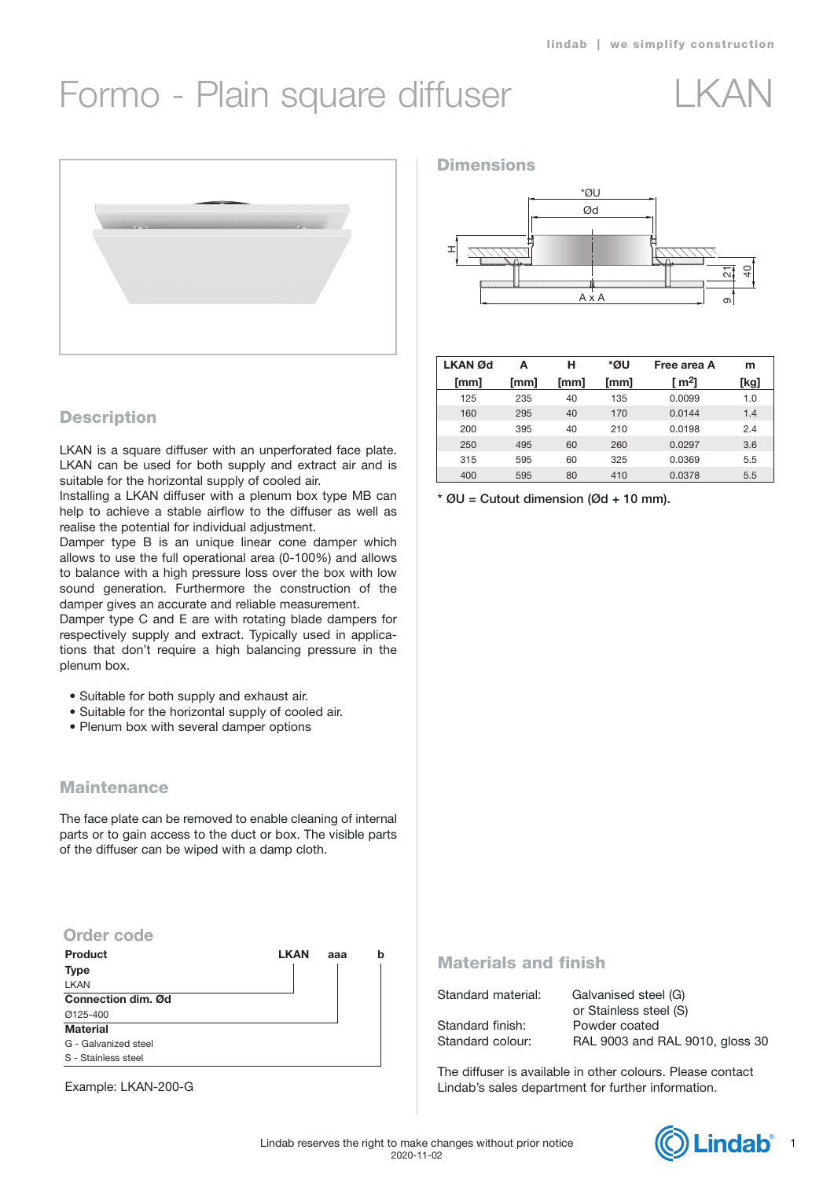# Formo - Plain square diffuser LKAN





# **Description**

LKAN is a square diffuser with an unperforated face plate. LKAN can be used for both supply and extract air and is suitable for the horizontal supply of cooled air.

Installing a LKAN diffuser with a plenum box type MB can help to achieve a stable airflow to the diffuser as well as realise the potential for individual adjustment.

Damper type B is an unique linear cone damper which allows to use the full operational area (0-100%) and allows to balance with a high pressure loss over the box with low sound generation. Furthermore the construction of the damper gives an accurate and reliable measurement.

Damper type C and E are with rotating blade dampers for respectively supply and extract. Typically used in applications that don't require a high balancing pressure in the plenum box.

- Suitable for both supply and exhaust air.
- Suitable for the horizontal supply of cooled air.
- Plenum box with several damper options

## **Maintenance**

The face plate can be removed to enable cleaning of internal parts or to gain access to the duct or box. The visible parts of the diffuser can be wiped with a damp cloth.

## **Order code**

| Product              | <b>LKAN</b> | ааа | h |
|----------------------|-------------|-----|---|
| <b>Type</b>          |             |     |   |
| <b>LKAN</b>          |             |     |   |
| Connection dim. Ød   |             |     |   |
| Ø125-400             |             |     |   |
| <b>Material</b>      |             |     |   |
| G - Galvanized steel |             |     |   |
| S - Stainless steel  |             |     |   |

Example: LKAN-200-G

### **Dimensions**



| <b>LKAN</b> Ød | А    | н    | *ØU  | Free area A | m    |
|----------------|------|------|------|-------------|------|
| [mm]           | [mm] | [mm] | [mm] | [ m2]       | [kg] |
| 125            | 235  | 40   | 135  | 0.0099      | 1.0  |
| 160            | 295  | 40   | 170  | 0.0144      | 1.4  |
| 200            | 395  | 40   | 210  | 0.0198      | 2.4  |
| 250            | 495  | 60   | 260  | 0.0297      | 3.6  |
| 315            | 595  | 60   | 325  | 0.0369      | 5.5  |
| 400            | 595  | 80   | 410  | 0.0378      | 5.5  |

 $*$  ØU = Cutout dimension (Ød + 10 mm).

## Materials and finish

Standard material: Galvanised steel (G)

Standard finish: Powder coated

 or Stainless steel (S) Standard colour: RAL 9003 and RAL 9010, gloss 30

The diffuser is available in other colours. Please contact Lindab's sales department for further information.